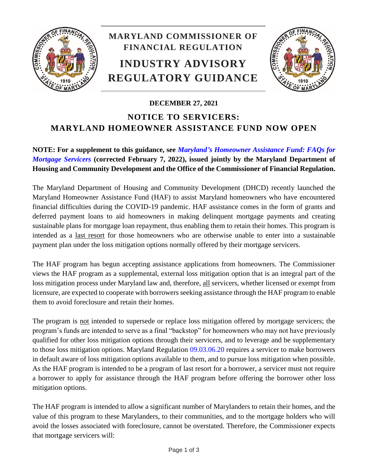

## **MARYLAND COMMISSIONER OF FINANCIAL REGULATION INDUSTRY ADVISORY REGULATORY GUIDANCE**



## **DECEMBER 27, 2021 NOTICE TO SERVICERS: MARYLAND HOMEOWNER ASSISTANCE FUND NOW OPEN**

## **NOTE: For a supplement to this guidance, see** *Maryland's [Homeowner Assistance Fund:](http://www.labor.maryland.gov/finance/advisories/advisory-jointnoticedhcd-ocfr-haf-faqs.pdf) FAQs for [Mortgage Servicers](http://www.labor.maryland.gov/finance/advisories/advisory-jointnoticedhcd-ocfr-haf-faqs.pdf)* **(corrected February 7, 2022), issued jointly by the Maryland Department of Housing and Community Development and the Office of the Commissioner of Financial Regulation.**

The Maryland Department of Housing and Community Development (DHCD) recently launched the Maryland Homeowner Assistance Fund (HAF) to assist Maryland homeowners who have encountered financial difficulties during the COVID-19 pandemic. HAF assistance comes in the form of grants and deferred payment loans to aid homeowners in making delinquent mortgage payments and creating sustainable plans for mortgage loan repayment, thus enabling them to retain their homes. This program is intended as a last resort for those homeowners who are otherwise unable to enter into a sustainable payment plan under the loss mitigation options normally offered by their mortgage servicers.

The HAF program has begun accepting assistance applications from homeowners. The Commissioner views the HAF program as a supplemental, external loss mitigation option that is an integral part of the loss mitigation process under Maryland law and, therefore, all servicers, whether licensed or exempt from licensure, are expected to cooperate with borrowers seeking assistance through the HAF program to enable them to avoid foreclosure and retain their homes.

The program is not intended to supersede or replace loss mitigation offered by mortgage servicers; the program's funds are intended to serve as a final "backstop" for homeowners who may not have previously qualified for other loss mitigation options through their servicers, and to leverage and be supplementary to those loss mitigation options. Maryland Regulation [09.03.06.20](http://www.dsd.state.md.us/comar/comarhtml/09/09.03.06.20.htm) requires a servicer to make borrowers in default aware of loss mitigation options available to them, and to pursue loss mitigation when possible. As the HAF program is intended to be a program of last resort for a borrower, a servicer must not require a borrower to apply for assistance through the HAF program before offering the borrower other loss mitigation options.

The HAF program is intended to allow a significant number of Marylanders to retain their homes, and the value of this program to these Marylanders, to their communities, and to the mortgage holders who will avoid the losses associated with foreclosure, cannot be overstated. Therefore, the Commissioner expects that mortgage servicers will: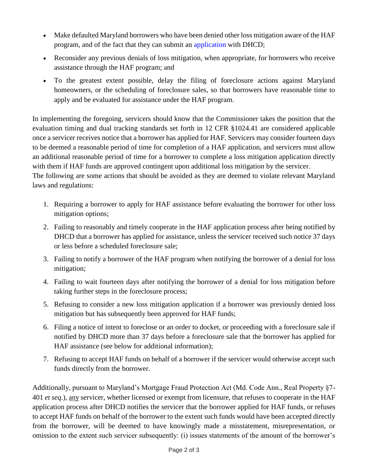- Make defaulted Maryland borrowers who have been denied other loss mitigation aware of the HAF program, and of the fact that they can submit an [application](https://dhcd.maryland.gov/Residents/Pages/HomeownerAssistanceFund.aspx) with DHCD;
- Reconsider any previous denials of loss mitigation, when appropriate, for borrowers who receive assistance through the HAF program; and
- To the greatest extent possible, delay the filing of foreclosure actions against Maryland homeowners, or the scheduling of foreclosure sales, so that borrowers have reasonable time to apply and be evaluated for assistance under the HAF program.

In implementing the foregoing, servicers should know that the Commissioner takes the position that the evaluation timing and dual tracking standards set forth in 12 CFR §1024.41 are considered applicable once a servicer receives notice that a borrower has applied for HAF. Servicers may consider fourteen days to be deemed a reasonable period of time for completion of a HAF application, and servicers must allow an additional reasonable period of time for a borrower to complete a loss mitigation application directly with them if HAF funds are approved contingent upon additional loss mitigation by the servicer. The following are some actions that should be avoided as they are deemed to violate relevant Maryland

laws and regulations:

- 1. Requiring a borrower to apply for HAF assistance before evaluating the borrower for other loss mitigation options;
- 2. Failing to reasonably and timely cooperate in the HAF application process after being notified by DHCD that a borrower has applied for assistance, unless the servicer received such notice 37 days or less before a scheduled foreclosure sale;
- 3. Failing to notify a borrower of the HAF program when notifying the borrower of a denial for loss mitigation;
- 4. Failing to wait fourteen days after notifying the borrower of a denial for loss mitigation before taking further steps in the foreclosure process;
- 5. Refusing to consider a new loss mitigation application if a borrower was previously denied loss mitigation but has subsequently been approved for HAF funds;
- 6. Filing a notice of intent to foreclose or an order to docket, or proceeding with a foreclosure sale if notified by DHCD more than 37 days before a foreclosure sale that the borrower has applied for HAF assistance (see below for additional information);
- 7. Refusing to accept HAF funds on behalf of a borrower if the servicer would otherwise accept such funds directly from the borrower.

Additionally, pursuant to Maryland's Mortgage Fraud Protection Act (Md. Code Ann., Real Property §7- 401 *et seq.*), any servicer, whether licensed or exempt from licensure, that refuses to cooperate in the HAF application process after DHCD notifies the servicer that the borrower applied for HAF funds, or refuses to accept HAF funds on behalf of the borrower to the extent such funds would have been accepted directly from the borrower, will be deemed to have knowingly made a misstatement, misrepresentation, or omission to the extent such servicer subsequently: (i) issues statements of the amount of the borrower's